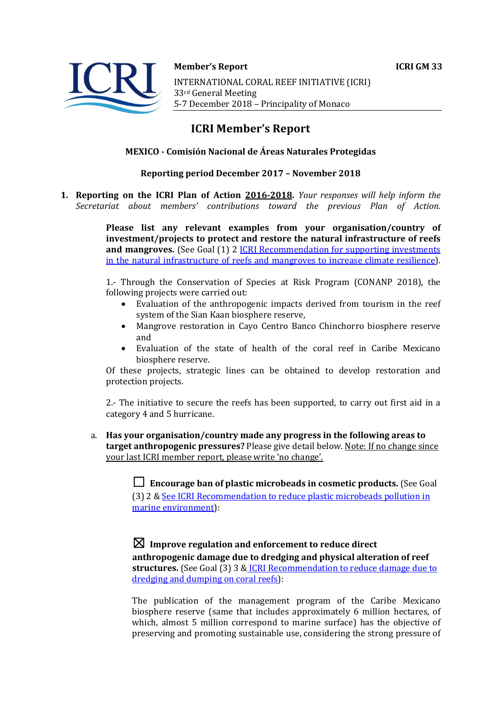

**Member's Report ICRI GM 33** INTERNATIONAL CORAL REEF INITIATIVE (ICRI) 33rd General Meeting 5-7 December 2018 - Principality of Monaco

# **ICRI Member's Report**

### **MEXICO - Comisión Nacional de Áreas Naturales Protegidas**

### **Reporting period December 2017 - November 2018**

**1. Reporting on the ICRI Plan of Action 2016-2018.** *Your responses will help inform the Secretariat about members' contributions toward the previous Plan of Action.*

> **Please list any relevant examples from your organisation/country of investment/projects to protect and restore the natural infrastructure of reefs and mangroves.** (See Goal (1) 2 **ICRI** Recommendation for supporting investments in the natural infrastructure of reefs and mangroves to increase climate resilience).

> 1.- Through the Conservation of Species at Risk Program (CONANP 2018), the following projects were carried out:

- Evaluation of the anthropogenic impacts derived from tourism in the reef system of the Sian Kaan biosphere reserve,
- Mangrove restoration in Cayo Centro Banco Chinchorro biosphere reserve and
- Evaluation of the state of health of the coral reef in Caribe Mexicano biosphere reserve.

Of these projects, strategic lines can be obtained to develop restoration and protection projects.

2.- The initiative to secure the reefs has been supported, to carry out first aid in a category 4 and 5 hurricane.

a. Has your organisation/country made any progress in the following areas to **target anthropogenic pressures?** Please give detail below. Note: If no change since your last ICRI member report, please write 'no change'.

> $\Box$  **Encourage ban of plastic microbeads in cosmetic products.** (See Goal (3) 2 & See ICRI Recommendation to reduce plastic microbeads pollution in marine environment):

## $\boxtimes$  Improve regulation and enforcement to reduce direct

anthropogenic damage due to dredging and physical alteration of reef **structures.** (See Goal (3) 3 & ICRI Recommendation to reduce damage due to  $d$ redging and dumping on coral reefs):

The publication of the management program of the Caribe Mexicano biosphere reserve (same that includes approximately 6 million hectares, of which, almost 5 million correspond to marine surface) has the objective of preserving and promoting sustainable use, considering the strong pressure of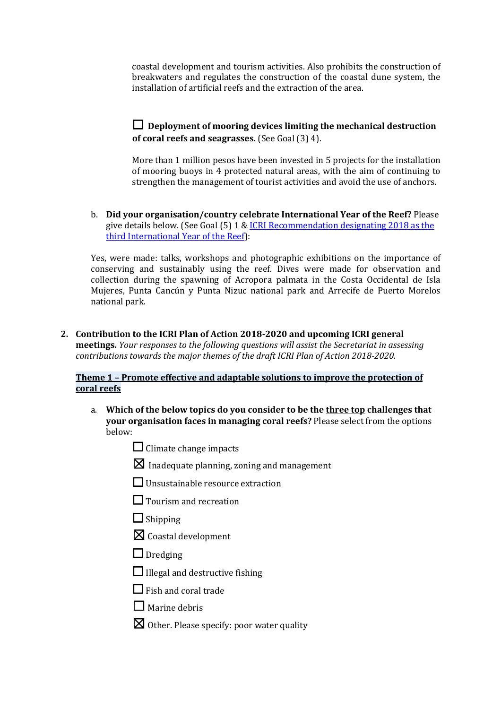coastal development and tourism activities. Also prohibits the construction of breakwaters and regulates the construction of the coastal dune system, the installation of artificial reefs and the extraction of the area.

### □ Deployment of mooring devices limiting the mechanical destruction **of coral reefs and seagrasses.** (See Goal (3) 4).

More than 1 million pesos have been invested in 5 projects for the installation of mooring buoys in 4 protected natural areas, with the aim of continuing to strengthen the management of tourist activities and avoid the use of anchors.

b. Did your organisation/country celebrate International Year of the Reef? Please give details below. (See Goal  $(5)$  1 & ICRI Recommendation designating 2018 as the third International Year of the Reef):

Yes, were made: talks, workshops and photographic exhibitions on the importance of conserving and sustainably using the reef. Dives were made for observation and collection during the spawning of Acropora palmata in the Costa Occidental de Isla Mujeres, Punta Cancún y Punta Nizuc national park and Arrecife de Puerto Morelos national park.

2. Contribution to the ICRI Plan of Action 2018-2020 and upcoming ICRI general **meetings.** *Your responses to the following questions will assist the Secretariat in assessing contributions towards the major themes of the draft ICRI Plan of Action 2018-2020.* 

### **Theme 1 - Promote effective and adaptable solutions to improve the protection of coral reefs**

- a. Which of the below topics do you consider to be the three top challenges that **your organisation faces in managing coral reefs?** Please select from the options below:
	- $\Box$  Climate change impacts
	- $\boxtimes$  Inadequate planning, zoning and management
	- $\Box$  Unsustainable resource extraction
	- $\Box$  Tourism and recreation
	- $\Box$  Shipping
	- $\boxtimes$  Coastal development
	- $\Box$  Dredging
	- $\Box$  Illegal and destructive fishing
	- $\Box$  Fish and coral trade
	- $\Box$  Marine debris
	- $\boxtimes$  Other. Please specify: poor water quality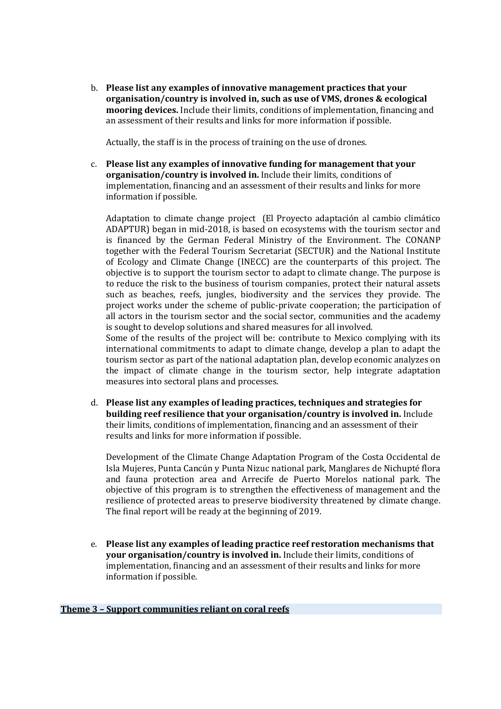b. Please list any examples of innovative management practices that your **organisation/country is involved in, such as use of VMS, drones & ecological mooring devices.** Include their limits, conditions of implementation, financing and an assessment of their results and links for more information if possible.

Actually, the staff is in the process of training on the use of drones.

c. Please list any examples of innovative funding for management that your **organisation/country is involved in.** Include their limits, conditions of implementation, financing and an assessment of their results and links for more information if possible.

Adaptation to climate change project (El Proyecto adaptación al cambio climático ADAPTUR) began in mid-2018, is based on ecosystems with the tourism sector and is financed by the German Federal Ministry of the Environment. The CONANP together with the Federal Tourism Secretariat (SECTUR) and the National Institute of Ecology and Climate Change (INECC) are the counterparts of this project. The objective is to support the tourism sector to adapt to climate change. The purpose is to reduce the risk to the business of tourism companies, protect their natural assets such as beaches, reefs, jungles, biodiversity and the services they provide. The project works under the scheme of public-private cooperation; the participation of all actors in the tourism sector and the social sector, communities and the academy is sought to develop solutions and shared measures for all involved.

Some of the results of the project will be: contribute to Mexico complying with its international commitments to adapt to climate change, develop a plan to adapt the tourism sector as part of the national adaptation plan, develop economic analyzes on the impact of climate change in the tourism sector, help integrate adaptation measures into sectoral plans and processes.

d. Please list any examples of leading practices, techniques and strategies for **building reef resilience that your organisation/country is involved in.** Include their limits, conditions of implementation, financing and an assessment of their results and links for more information if possible.

Development of the Climate Change Adaptation Program of the Costa Occidental de Isla Mujeres, Punta Cancún y Punta Nizuc national park, Manglares de Nichupté flora and fauna protection area and Arrecife de Puerto Morelos national park. The objective of this program is to strengthen the effectiveness of management and the resilience of protected areas to preserve biodiversity threatened by climate change. The final report will be ready at the beginning of 2019.

e. Please list any examples of leading practice reef restoration mechanisms that **your organisation/country is involved in.** Include their limits, conditions of implementation, financing and an assessment of their results and links for more information if possible.

#### **Theme 3 - Support communities reliant on coral reefs**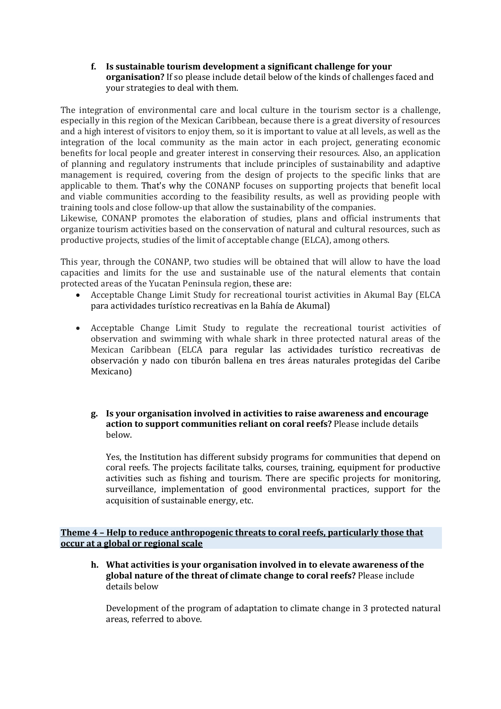**f.** Is sustainable tourism development a significant challenge for your **organisation?** If so please include detail below of the kinds of challenges faced and your strategies to deal with them.

The integration of environmental care and local culture in the tourism sector is a challenge, especially in this region of the Mexican Caribbean, because there is a great diversity of resources and a high interest of visitors to enjoy them, so it is important to value at all levels, as well as the integration of the local community as the main actor in each project, generating economic benefits for local people and greater interest in conserving their resources. Also, an application of planning and regulatory instruments that include principles of sustainability and adaptive management is required, covering from the design of projects to the specific links that are applicable to them. That's why the CONANP focuses on supporting projects that benefit local and viable communities according to the feasibility results, as well as providing people with training tools and close follow-up that allow the sustainability of the companies.

Likewise, CONANP promotes the elaboration of studies, plans and official instruments that organize tourism activities based on the conservation of natural and cultural resources, such as productive projects, studies of the limit of acceptable change (ELCA), among others.

This year, through the CONANP, two studies will be obtained that will allow to have the load capacities and limits for the use and sustainable use of the natural elements that contain protected areas of the Yucatan Peninsula region, these are:

- Acceptable Change Limit Study for recreational tourist activities in Akumal Bay (ELCA para actividades turístico recreativas en la Bahía de Akumal)
- Acceptable Change Limit Study to regulate the recreational tourist activities of observation and swimming with whale shark in three protected natural areas of the Mexican Caribbean (ELCA para regular las actividades turístico recreativas de observación y nado con tiburón ballena en tres áreas naturales protegidas del Caribe Mexicano)

### **g. Is your organisation involved in activities to raise awareness and encourage**  action to support communities reliant on coral reefs? Please include details below.

Yes, the Institution has different subsidy programs for communities that depend on coral reefs. The projects facilitate talks, courses, training, equipment for productive activities such as fishing and tourism. There are specific projects for monitoring, surveillance, implementation of good environmental practices, support for the acquisition of sustainable energy, etc.

**Theme 4 - Help to reduce anthropogenic threats to coral reefs, particularly those that occur at a global or regional scale**

**h.** What activities is your organisation involved in to elevate awareness of the **global nature of the threat of climate change to coral reefs?** Please include details below

Development of the program of adaptation to climate change in 3 protected natural areas, referred to above.